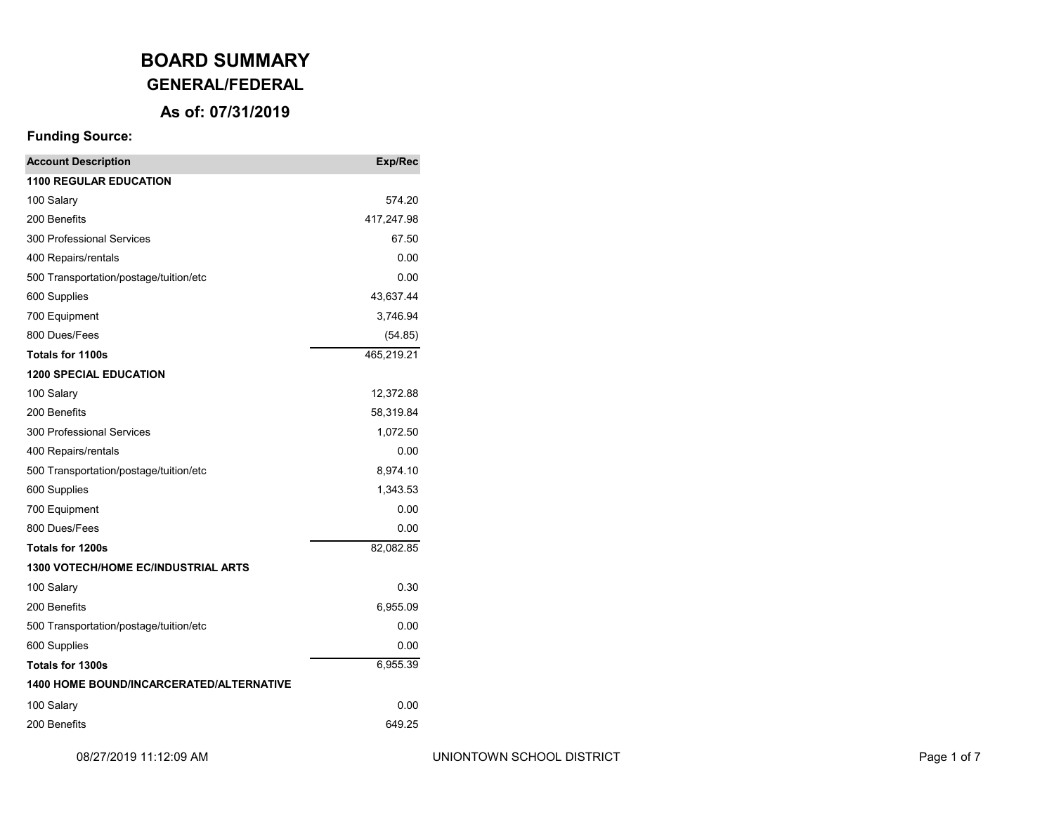# **GENERAL/FEDERAL**

### **As of: 07/31/2019**

| <b>Account Description</b>                      | Exp/Rec    |  |
|-------------------------------------------------|------------|--|
| <b>1100 REGULAR EDUCATION</b>                   |            |  |
| 100 Salary                                      | 574.20     |  |
| 200 Benefits                                    | 417,247.98 |  |
| 300 Professional Services                       | 67.50      |  |
| 400 Repairs/rentals                             | 0.00       |  |
| 500 Transportation/postage/tuition/etc          | 0.00       |  |
| 600 Supplies                                    | 43,637.44  |  |
| 700 Equipment                                   | 3,746.94   |  |
| 800 Dues/Fees                                   | (54.85)    |  |
| <b>Totals for 1100s</b>                         | 465,219.21 |  |
| <b>1200 SPECIAL EDUCATION</b>                   |            |  |
| 100 Salary                                      | 12,372.88  |  |
| 200 Benefits                                    | 58,319.84  |  |
| 300 Professional Services                       | 1,072.50   |  |
| 400 Repairs/rentals                             | 0.00       |  |
| 500 Transportation/postage/tuition/etc          | 8,974.10   |  |
| 600 Supplies                                    | 1,343.53   |  |
| 700 Equipment                                   | 0.00       |  |
| 800 Dues/Fees                                   | 0.00       |  |
| Totals for 1200s                                | 82,082.85  |  |
| <b>1300 VOTECH/HOME EC/INDUSTRIAL ARTS</b>      |            |  |
| 100 Salary                                      | 0.30       |  |
| 200 Benefits                                    | 6,955.09   |  |
| 500 Transportation/postage/tuition/etc          | 0.00       |  |
| 600 Supplies                                    | 0.00       |  |
| Totals for 1300s                                | 6,955.39   |  |
| <b>1400 HOME BOUND/INCARCERATED/ALTERNATIVE</b> |            |  |
| 100 Salary                                      | 0.00       |  |
| 200 Benefits<br>649.25                          |            |  |
|                                                 |            |  |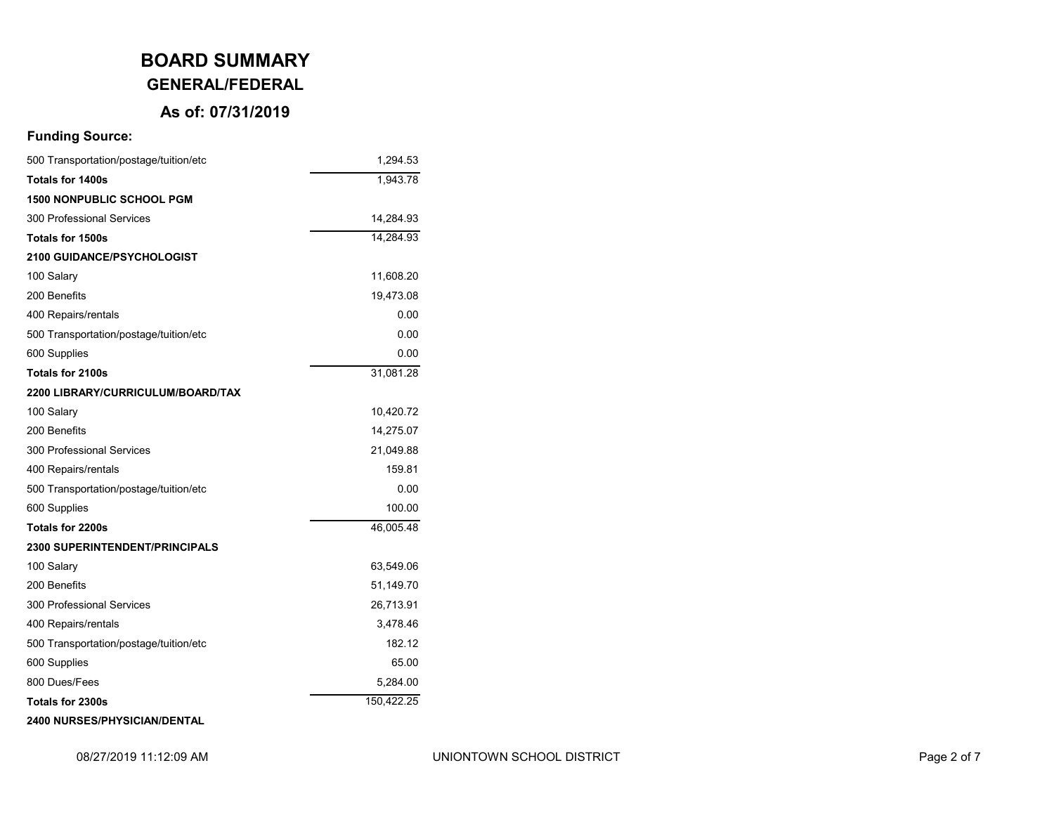# **BOARD SUMMARY GENERAL/FEDERAL**

## **As of: 07/31/2019**

### **Funding Source:**

| 500 Transportation/postage/tuition/etc | 1,294.53   |
|----------------------------------------|------------|
| <b>Totals for 1400s</b>                | 1,943.78   |
| <b>1500 NONPUBLIC SCHOOL PGM</b>       |            |
| 300 Professional Services              | 14,284.93  |
| Totals for 1500s                       | 14,284.93  |
| 2100 GUIDANCE/PSYCHOLOGIST             |            |
| 100 Salary                             | 11,608.20  |
| 200 Benefits                           | 19,473.08  |
| 400 Repairs/rentals                    | 0.00       |
| 500 Transportation/postage/tuition/etc | 0.00       |
| 600 Supplies                           | 0.00       |
| Totals for 2100s                       | 31,081.28  |
| 2200 LIBRARY/CURRICULUM/BOARD/TAX      |            |
| 100 Salary                             | 10,420.72  |
| 200 Benefits                           | 14,275.07  |
| 300 Professional Services              | 21,049.88  |
| 400 Repairs/rentals                    | 159.81     |
| 500 Transportation/postage/tuition/etc | 0.00       |
| 600 Supplies                           | 100.00     |
| Totals for 2200s                       | 46,005.48  |
| <b>2300 SUPERINTENDENT/PRINCIPALS</b>  |            |
| 100 Salary                             | 63,549.06  |
| 200 Benefits                           | 51,149.70  |
| 300 Professional Services              | 26,713.91  |
| 400 Repairs/rentals                    | 3,478.46   |
| 500 Transportation/postage/tuition/etc | 182.12     |
| 600 Supplies                           | 65.00      |
| 800 Dues/Fees                          | 5,284.00   |
| Totals for 2300s                       | 150,422.25 |
|                                        |            |

#### **2400 NURSES/PHYSICIAN/DENTAL**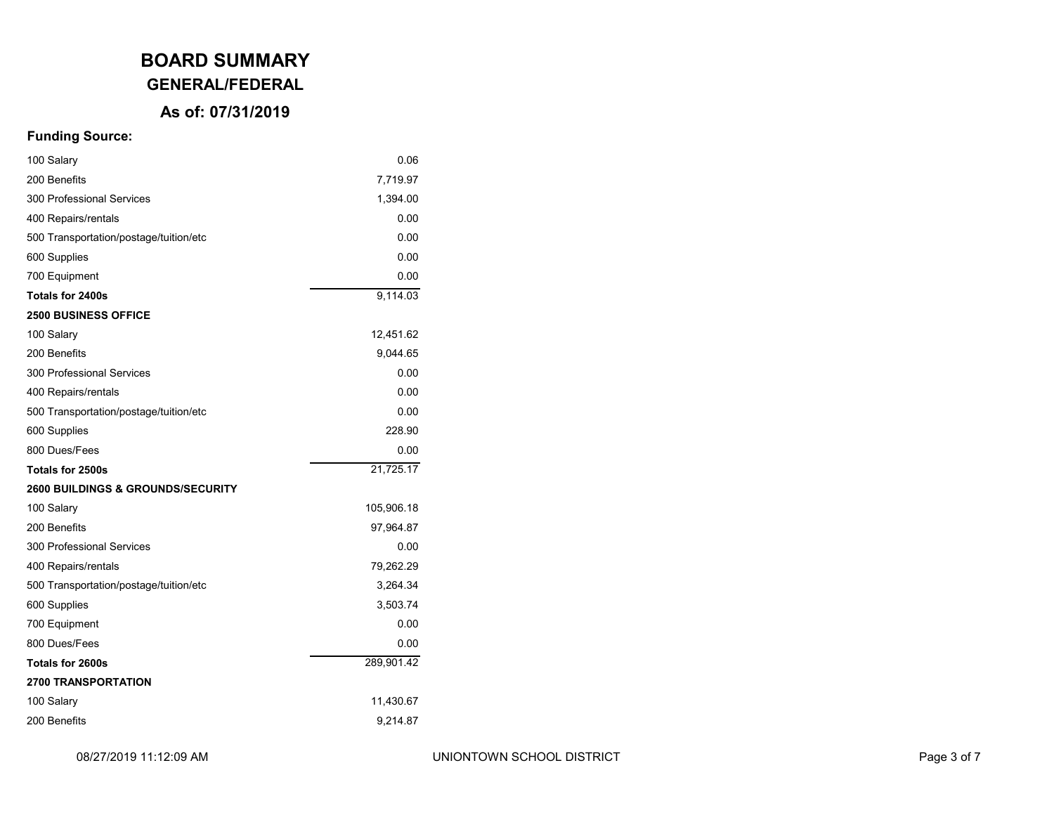# **GENERAL/FEDERAL**

### **As of: 07/31/2019**

| 100 Salary                                   | 0.06       |
|----------------------------------------------|------------|
| 200 Benefits                                 | 7,719.97   |
| 300 Professional Services                    | 1,394.00   |
| 400 Repairs/rentals                          | 0.00       |
| 500 Transportation/postage/tuition/etc       | 0.00       |
| 600 Supplies                                 | 0.00       |
| 700 Equipment                                | 0.00       |
| Totals for 2400s                             | 9,114.03   |
| <b>2500 BUSINESS OFFICE</b>                  |            |
| 100 Salary                                   | 12,451.62  |
| 200 Benefits                                 | 9,044.65   |
| 300 Professional Services                    | 0.00       |
| 400 Repairs/rentals                          | 0.00       |
| 500 Transportation/postage/tuition/etc       | 0.00       |
| 600 Supplies                                 | 228.90     |
| 800 Dues/Fees                                | 0.00       |
| Totals for 2500s                             | 21,725.17  |
| <b>2600 BUILDINGS &amp; GROUNDS/SECURITY</b> |            |
| 100 Salary                                   | 105,906.18 |
| 200 Benefits                                 | 97,964.87  |
| 300 Professional Services                    | 0.00       |
| 400 Repairs/rentals                          | 79,262.29  |
| 500 Transportation/postage/tuition/etc       | 3,264.34   |
| 600 Supplies                                 | 3,503.74   |
| 700 Equipment                                | 0.00       |
| 800 Dues/Fees                                | 0.00       |
| Totals for 2600s                             | 289,901.42 |
| <b>2700 TRANSPORTATION</b>                   |            |
| 100 Salary                                   | 11,430.67  |
| 200 Benefits                                 | 9,214.87   |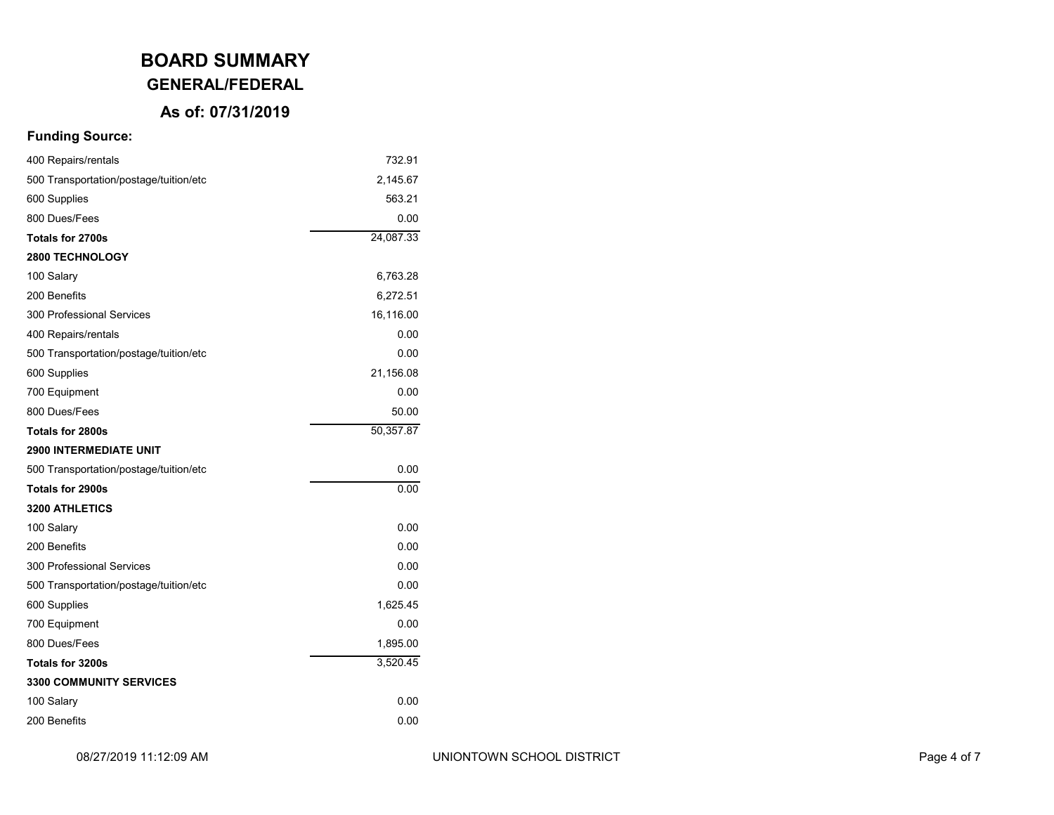# **GENERAL/FEDERAL**

### **As of: 07/31/2019**

| 400 Repairs/rentals                    | 732.91    |
|----------------------------------------|-----------|
| 500 Transportation/postage/tuition/etc | 2,145.67  |
| 600 Supplies                           | 563.21    |
| 800 Dues/Fees                          | 0.00      |
| <b>Totals for 2700s</b>                | 24,087.33 |
| <b>2800 TECHNOLOGY</b>                 |           |
| 100 Salary                             | 6,763.28  |
| 200 Benefits                           | 6,272.51  |
| 300 Professional Services              | 16,116.00 |
| 400 Repairs/rentals                    | 0.00      |
| 500 Transportation/postage/tuition/etc | 0.00      |
| 600 Supplies                           | 21,156.08 |
| 700 Equipment                          | 0.00      |
| 800 Dues/Fees                          | 50.00     |
| Totals for 2800s                       | 50,357.87 |
| <b>2900 INTERMEDIATE UNIT</b>          |           |
| 500 Transportation/postage/tuition/etc | 0.00      |
| Totals for 2900s                       | 0.00      |
| <b>3200 ATHLETICS</b>                  |           |
| 100 Salary                             | 0.00      |
| 200 Benefits                           | 0.00      |
| 300 Professional Services              | 0.00      |
| 500 Transportation/postage/tuition/etc | 0.00      |
| 600 Supplies                           | 1,625.45  |
| 700 Equipment                          | 0.00      |
| 800 Dues/Fees                          | 1,895.00  |
| <b>Totals for 3200s</b>                | 3,520.45  |
| <b>3300 COMMUNITY SERVICES</b>         |           |
| 100 Salary                             | 0.00      |
| 200 Benefits                           | 0.00      |
|                                        |           |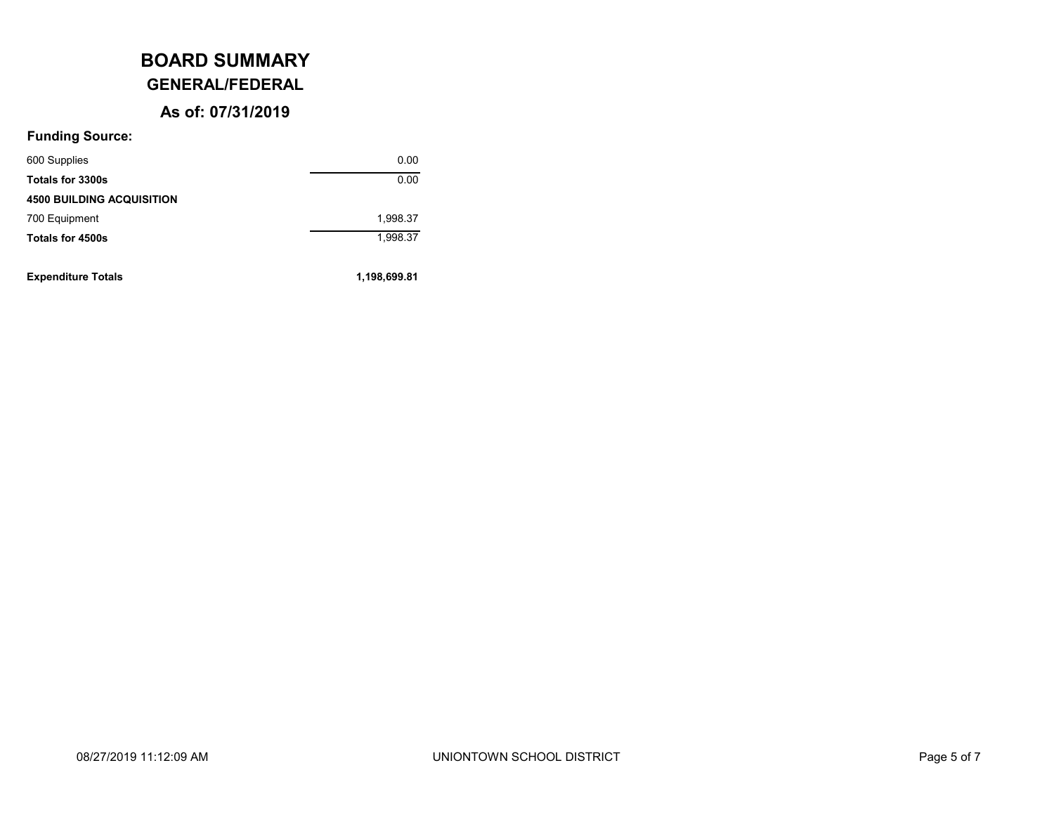# **GENERAL/FEDERAL**

### **As of: 07/31/2019**

| <b>4500 BUILDING ACQUISITION</b> |          |
|----------------------------------|----------|
| 700 Equipment                    | 1,998.37 |
| Totals for 4500s                 | 1,998.37 |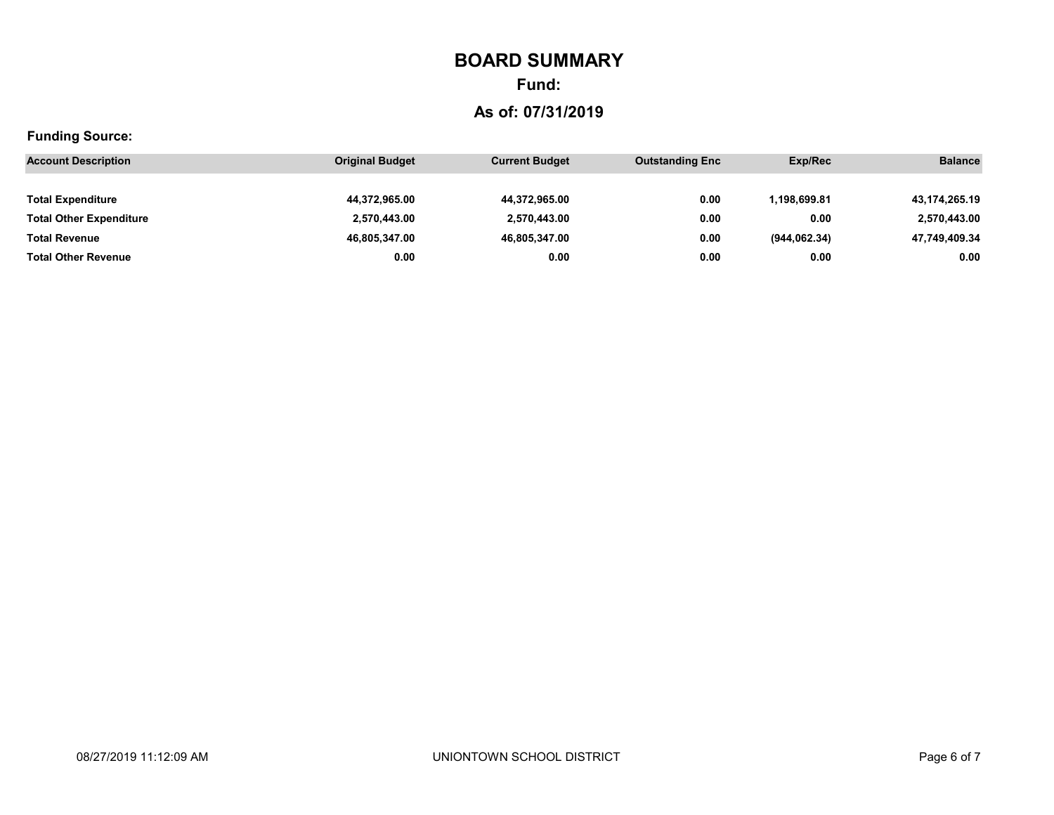# **Fund:**

# **As of: 07/31/2019**

| <b>Account Description</b>     | <b>Original Budget</b> | <b>Current Budget</b> | <b>Outstanding Enc</b> | Exp/Rec       | <b>Balance</b> |
|--------------------------------|------------------------|-----------------------|------------------------|---------------|----------------|
|                                |                        |                       |                        |               |                |
| <b>Total Expenditure</b>       | 44,372,965.00          | 44,372,965.00         | 0.00                   | 1.198.699.81  | 43,174,265.19  |
| <b>Total Other Expenditure</b> | 2,570,443.00           | 2,570,443.00          | 0.00                   | 0.00          | 2,570,443.00   |
| <b>Total Revenue</b>           | 46,805,347.00          | 46,805,347.00         | 0.00                   | (944, 062.34) | 47,749,409.34  |
| <b>Total Other Revenue</b>     | 0.00                   | 0.00                  | 0.00                   | 0.00          | 0.00           |